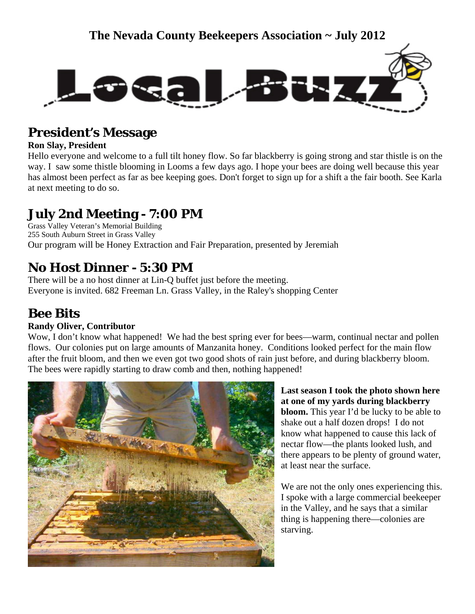

## **President's Message**

### **Ron Slay, President**

Hello everyone and welcome to a full tilt honey flow. So far blackberry is going strong and star thistle is on the way. I saw some thistle blooming in Looms a few days ago. I hope your bees are doing well because this year has almost been perfect as far as bee keeping goes. Don't forget to sign up for a shift a the fair booth. See Karla at next meeting to do so.

# **July 2nd Meeting - 7:00 PM**

Grass Valley Veteran's Memorial Building 255 South Auburn Street in Grass Valley Our program will be Honey Extraction and Fair Preparation, presented by Jeremiah

# **No Host Dinner - 5:30 PM**

There will be a no host dinner at Lin-Q buffet just before the meeting. Everyone is invited. 682 Freeman Ln. Grass Valley, in the Raley's shopping Center

### **Bee Bits**

### **Randy Oliver, Contributor**

Wow, I don't know what happened! We had the best spring ever for bees—warm, continual nectar and pollen flows. Our colonies put on large amounts of Manzanita honey. Conditions looked perfect for the main flow after the fruit bloom, and then we even got two good shots of rain just before, and during blackberry bloom. The bees were rapidly starting to draw comb and then, nothing happened!



**Last season I took the photo shown here at one of my yards during blackberry bloom.** This year I'd be lucky to be able to shake out a half dozen drops! I do not know what happened to cause this lack of nectar flow—the plants looked lush, and there appears to be plenty of ground water, at least near the surface.

We are not the only ones experiencing this. I spoke with a large commercial beekeeper in the Valley, and he says that a similar thing is happening there—colonies are starving.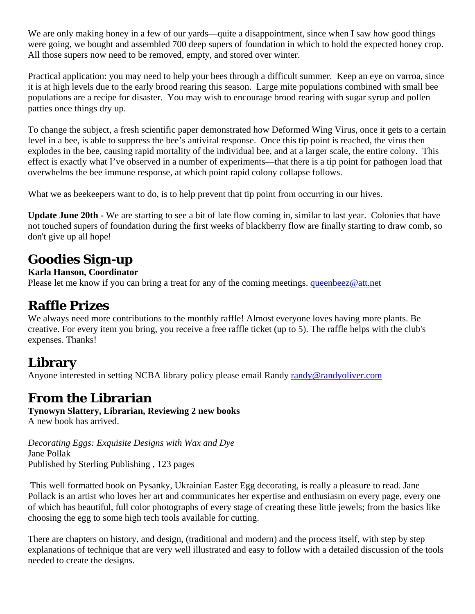We are only making honey in a few of our yards—quite a disappointment, since when I saw how good things were going, we bought and assembled 700 deep supers of foundation in which to hold the expected honey crop. All those supers now need to be removed, empty, and stored over winter.

Practical application: you may need to help your bees through a difficult summer. Keep an eye on varroa, since it is at high levels due to the early brood rearing this season. Large mite populations combined with small bee populations are a recipe for disaster. You may wish to encourage brood rearing with sugar syrup and pollen patties once things dry up.

To change the subject, a fresh scientific paper demonstrated how Deformed Wing Virus, once it gets to a certain level in a bee, is able to suppress the bee's antiviral response. Once this tip point is reached, the virus then explodes in the bee, causing rapid mortality of the individual bee, and at a larger scale, the entire colony. This effect is exactly what I've observed in a number of experiments—that there is a tip point for pathogen load that overwhelms the bee immune response, at which point rapid colony collapse follows.

What we as beekeepers want to do, is to help prevent that tip point from occurring in our hives.

**Update June 20th -** We are starting to see a bit of late flow coming in, similar to last year. Colonies that have not touched supers of foundation during the first weeks of blackberry flow are finally starting to draw comb, so don't give up all hope!

### **Goodies Sign-up**

#### **Karla Hanson, Coordinator**

Please let me know if you can bring a treat for any of the coming meetings. [queenbeez@att.net](mailto:queenbeez@att.net)

### **Raffle Prizes**

We always need more contributions to the monthly raffle! Almost everyone loves having more plants. Be creative. For every item you bring, you receive a free raffle ticket (up to 5). The raffle helps with the club's expenses. Thanks!

# **Library**

Anyone interested in setting NCBA library policy please email Randy [randy@randyoliver.com](mailto:randy@randyoliver.com)

### **From the Librarian**

**Tynowyn Slattery, Librarian, Reviewing 2 new books**  A new book has arrived.

*Decorating Eggs: Exquisite Designs with Wax and Dye*  Jane Pollak Published by Sterling Publishing , 123 pages

 This well formatted book on Pysanky, Ukrainian Easter Egg decorating, is really a pleasure to read. Jane Pollack is an artist who loves her art and communicates her expertise and enthusiasm on every page, every one of which has beautiful, full color photographs of every stage of creating these little jewels; from the basics like choosing the egg to some high tech tools available for cutting.

There are chapters on history, and design, (traditional and modern) and the process itself, with step by step explanations of technique that are very well illustrated and easy to follow with a detailed discussion of the tools needed to create the designs.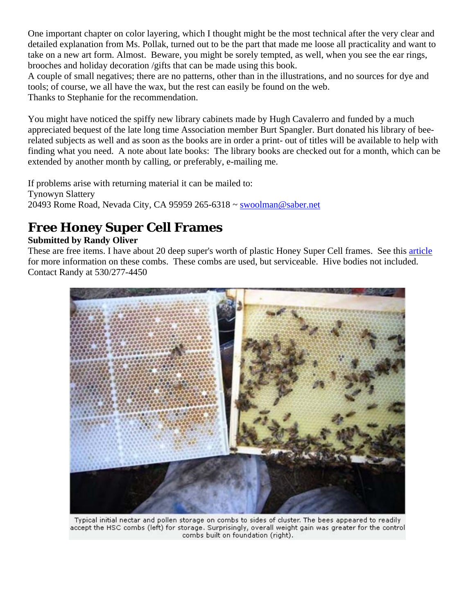One important chapter on color layering, which I thought might be the most technical after the very clear and detailed explanation from Ms. Pollak, turned out to be the part that made me loose all practicality and want to take on a new art form. Almost. Beware, you might be sorely tempted, as well, when you see the ear rings, brooches and holiday decoration /gifts that can be made using this book.

A couple of small negatives; there are no patterns, other than in the illustrations, and no sources for dye and tools; of course, we all have the wax, but the rest can easily be found on the web. Thanks to Stephanie for the recommendation.

You might have noticed the spiffy new library cabinets made by Hugh Cavalerro and funded by a much appreciated bequest of the late long time Association member Burt Spangler. Burt donated his library of beerelated subjects as well and as soon as the books are in order a print- out of titles will be available to help with finding what you need. A note about late books: The library books are checked out for a month, which can be extended by another month by calling, or preferably, e-mailing me.

If problems arise with returning material it can be mailed to: Tynowyn Slattery 20493 Rome Road, Nevada City, CA 95959 265-6318 ~ [swoolman@saber.net](mailto:swoolman@saber.net) 

# **Free Honey Super Cell Frames**

### **Submitted by Randy Oliver**

These are free items. I have about 20 deep super's worth of plastic Honey Super Cell frames. See this [article](http://scientificbeekeeping.com/trial-of-honeysupercell-small-cell-combs/) for more information on these combs. These combs are used, but serviceable. Hive bodies not included. Contact Randy at 530/277-4450



Typical initial nectar and pollen storage on combs to sides of cluster. The bees appeared to readily accept the HSC combs (left) for storage. Surprisingly, overall weight gain was greater for the control combs built on foundation (right).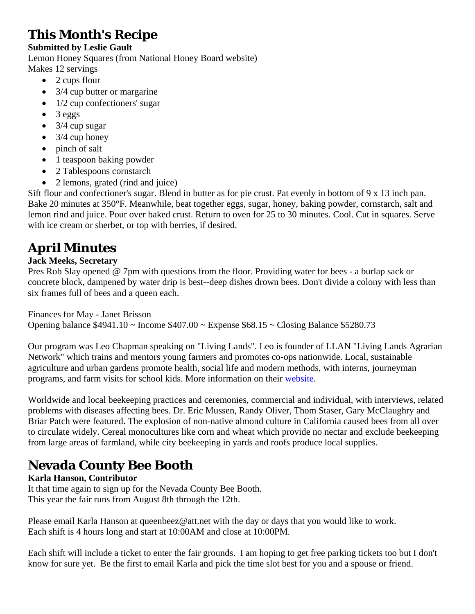# **This Month's Recipe**

#### **Submitted by Leslie Gault**

Lemon Honey Squares (from National Honey Board website) Makes 12 servings

- $\bullet$  2 cups flour
- 3/4 cup butter or margarine
- $\bullet$  1/2 cup confectioners' sugar
- $\bullet$  3 eggs
- $\bullet$  3/4 cup sugar
- $\bullet$  3/4 cup honey
- pinch of salt
- 1 teaspoon baking powder
- 2 Tablespoons cornstarch
- 2 lemons, grated (rind and juice)

Sift flour and confectioner's sugar. Blend in butter as for pie crust. Pat evenly in bottom of 9 x 13 inch pan. Bake 20 minutes at 350°F. Meanwhile, beat together eggs, sugar, honey, baking powder, cornstarch, salt and lemon rind and juice. Pour over baked crust. Return to oven for 25 to 30 minutes. Cool. Cut in squares. Serve with ice cream or sherbet, or top with berries, if desired.

# **April Minutes**

#### **Jack Meeks, Secretary**

Pres Rob Slay opened @ 7pm with questions from the floor. Providing water for bees - a burlap sack or concrete block, dampened by water drip is best--deep dishes drown bees. Don't divide a colony with less than six frames full of bees and a queen each.

Finances for May - Janet Brisson

Opening balance \$4941.10 ~ Income \$407.00 ~ Expense \$68.15 ~ Closing Balance \$5280.73

Our program was Leo Chapman speaking on "Living Lands". Leo is founder of LLAN "Living Lands Agrarian Network" which trains and mentors young farmers and promotes co-ops nationwide. Local, sustainable agriculture and urban gardens promote health, social life and modern methods, with interns, journeyman programs, and farm visits for school kids. More information on their [website](http://livinglands.wordpress.com/csa/).

Worldwide and local beekeeping practices and ceremonies, commercial and individual, with interviews, related problems with diseases affecting bees. Dr. Eric Mussen, Randy Oliver, Thom Staser, Gary McClaughry and Briar Patch were featured. The explosion of non-native almond culture in California caused bees from all over to circulate widely. Cereal monocultures like corn and wheat which provide no nectar and exclude beekeeping from large areas of farmland, while city beekeeping in yards and roofs produce local supplies.

# **Nevada County Bee Booth**

### **Karla Hanson, Contributor**

It that time again to sign up for the Nevada County Bee Booth. This year the fair runs from August 8th through the 12th.

Please email Karla Hanson at queenbeez@att.net with the day or days that you would like to work. Each shift is 4 hours long and start at 10:00AM and close at 10:00PM.

Each shift will include a ticket to enter the fair grounds. I am hoping to get free parking tickets too but I don't know for sure yet. Be the first to email Karla and pick the time slot best for you and a spouse or friend.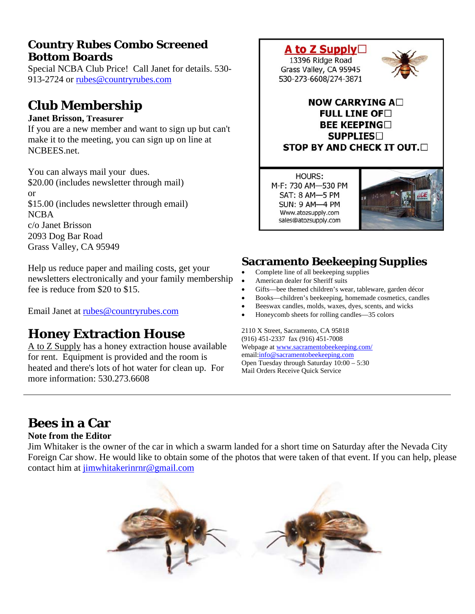### **Country Rubes Combo Screened Bottom Boards**

Special NCBA Club Price! Call Janet for details. 530- 913-2724 or [rubes@countryrubes.com](mailto:rubes@countryrubes.com)

# **Club Membership**

#### **Janet Brisson, Treasurer**

If you are a new member and want to sign up but can't make it to the meeting, you can sign up on line at NCBEES.net.

You can always mail your dues. \$20.00 (includes newsletter through mail) or \$15.00 (includes newsletter through email) NCBA c/o Janet Brisson 2093 Dog Bar Road Grass Valley, CA 95949

Help us reduce paper and mailing costs, get your newsletters electronically and your family membership fee is reduce from \$20 to \$15.

Email Janet at [rubes@countryrubes.com](mailto:rubes@countryrubes.com)

### **Honey Extraction House**

A to Z Supply has a honey extraction house available for rent. Equipment is provided and the room is heated and there's lots of hot water for clean up. For more information: 530.273.6608



**HOURS:** M-F: 730 AM-530 PM SAT: 8 AM-5 PM **SUN: 9 AM-4 PM** Www.atozsupply.com sales@atozsupply.com



### **Sacramento Beekeeping Supplies**

- Complete line of all beekeeping supplies
- American dealer for Sheriff suits
- Gifts—bee themed children's wear, tableware, garden décor
- Books—children's beekeeping, homemade cosmetics, candles
- Beeswax candles, molds, waxes, dyes, scents, and wicks
- Honeycomb sheets for rolling candles—35 colors

2110 X Street, Sacramento, CA 95818 (916) 451-2337 fax (916) 451-7008 Webpage at [www.sacramentobeekeeping.com/](http://www.sacramentobeekeeping.com/) email:[info@sacramentobeekeeping.com](mailto:%20info@sacramentobeekeeping.com) Open Tuesday through Saturday 10:00 – 5:30 Mail Orders Receive Quick Service

# **Bees in a Car**

#### **Note from the Editor**

Jim Whitaker is the owner of the car in which a swarm landed for a short time on Saturday after the Nevada City Foreign Car show. He would like to obtain some of the photos that were taken of that event. If you can help, please contact him at [jimwhitakerinrnr@gmail.com](mailto:jimwhitakerinrnr@gmail.com)